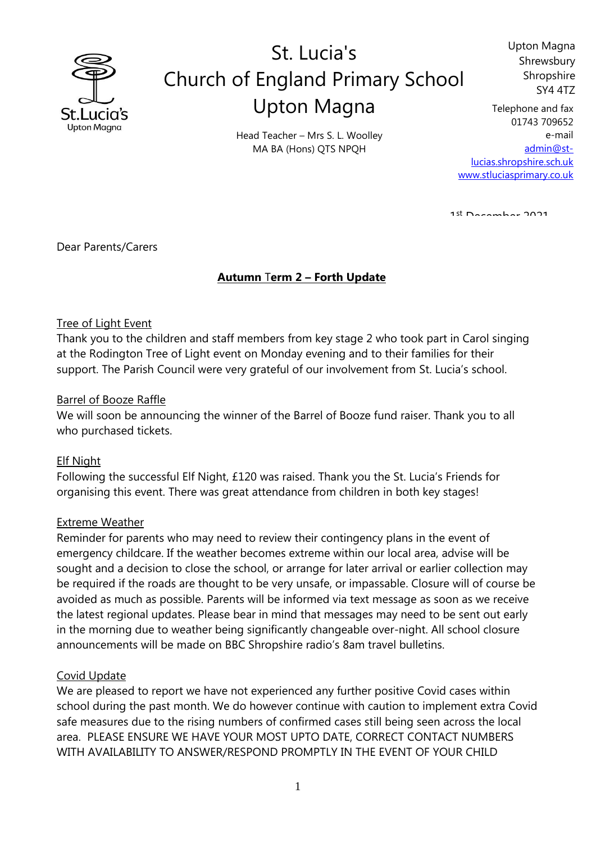

# St. Lucia's Church of England Primary School Upton Magna

Upton Magna Shrewsbury Shropshire SY4 4TZ

Head Teacher – Mrs S. L. Woolley MA BA (Hons) QTS NPQH

Telephone and fax 01743 709652 e-mail [admin@st](mailto:admin@st-lucias.shropshire.sch.uk)[lucias.shropshire.sch.uk](mailto:admin@st-lucias.shropshire.sch.uk) [www.stluciasprimary.co.uk](http://www.stluciasprimary.co.uk/)

1st December 2021

Dear Parents/Carers

### **Autumn** T**erm 2 – Forth Update**

#### Tree of Light Event

Thank you to the children and staff members from key stage 2 who took part in Carol singing at the Rodington Tree of Light event on Monday evening and to their families for their support. The Parish Council were very grateful of our involvement from St. Lucia's school.

#### Barrel of Booze Raffle

We will soon be announcing the winner of the Barrel of Booze fund raiser. Thank you to all who purchased tickets.

#### Elf Night

Following the successful Elf Night, £120 was raised. Thank you the St. Lucia's Friends for organising this event. There was great attendance from children in both key stages!

#### Extreme Weather

Reminder for parents who may need to review their contingency plans in the event of emergency childcare. If the weather becomes extreme within our local area, advise will be sought and a decision to close the school, or arrange for later arrival or earlier collection may be required if the roads are thought to be very unsafe, or impassable. Closure will of course be avoided as much as possible. Parents will be informed via text message as soon as we receive the latest regional updates. Please bear in mind that messages may need to be sent out early in the morning due to weather being significantly changeable over-night. All school closure announcements will be made on BBC Shropshire radio's 8am travel bulletins.

#### Covid Update

We are pleased to report we have not experienced any further positive Covid cases within school during the past month. We do however continue with caution to implement extra Covid safe measures due to the rising numbers of confirmed cases still being seen across the local area. PLEASE ENSURE WE HAVE YOUR MOST UPTO DATE, CORRECT CONTACT NUMBERS WITH AVAILABILITY TO ANSWER/RESPOND PROMPTLY IN THE EVENT OF YOUR CHILD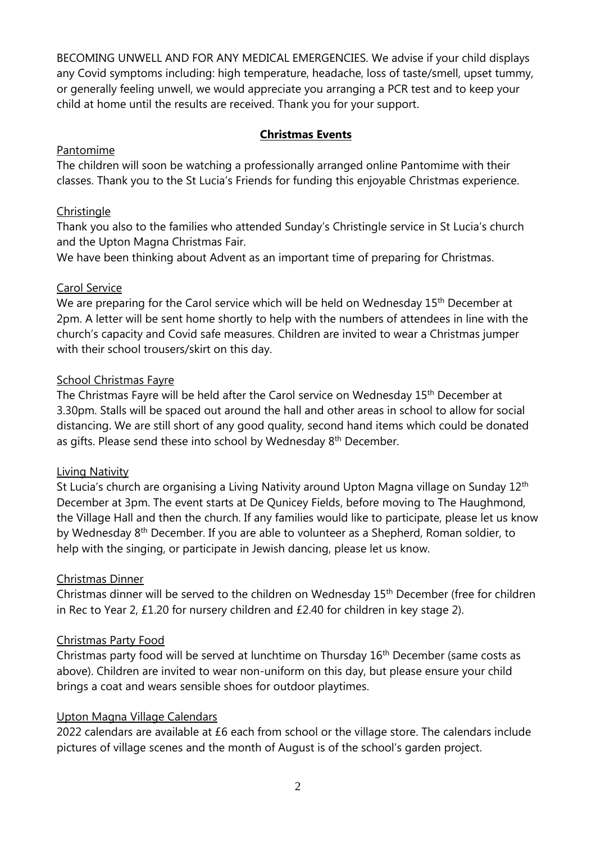BECOMING UNWELL AND FOR ANY MEDICAL EMERGENCIES. We advise if your child displays any Covid symptoms including: high temperature, headache, loss of taste/smell, upset tummy, or generally feeling unwell, we would appreciate you arranging a PCR test and to keep your child at home until the results are received. Thank you for your support.

### **Christmas Events**

### Pantomime

The children will soon be watching a professionally arranged online Pantomime with their classes. Thank you to the St Lucia's Friends for funding this enjoyable Christmas experience.

### **Christingle**

Thank you also to the families who attended Sunday's Christingle service in St Lucia's church and the Upton Magna Christmas Fair.

We have been thinking about Advent as an important time of preparing for Christmas.

## Carol Service

We are preparing for the Carol service which will be held on Wednesday 15<sup>th</sup> December at 2pm. A letter will be sent home shortly to help with the numbers of attendees in line with the church's capacity and Covid safe measures. Children are invited to wear a Christmas jumper with their school trousers/skirt on this day.

## School Christmas Fayre

The Christmas Fayre will be held after the Carol service on Wednesday 15<sup>th</sup> December at 3.30pm. Stalls will be spaced out around the hall and other areas in school to allow for social distancing. We are still short of any good quality, second hand items which could be donated as gifts. Please send these into school by Wednesday 8<sup>th</sup> December.

### Living Nativity

St Lucia's church are organising a Living Nativity around Upton Magna village on Sunday 12<sup>th</sup> December at 3pm. The event starts at De Qunicey Fields, before moving to The Haughmond, the Village Hall and then the church. If any families would like to participate, please let us know by Wednesday 8<sup>th</sup> December. If you are able to volunteer as a Shepherd, Roman soldier, to help with the singing, or participate in Jewish dancing, please let us know.

### Christmas Dinner

Christmas dinner will be served to the children on Wednesday 15th December (free for children in Rec to Year 2, £1.20 for nursery children and £2.40 for children in key stage 2).

# Christmas Party Food

Christmas party food will be served at lunchtime on Thursday 16<sup>th</sup> December (same costs as above). Children are invited to wear non-uniform on this day, but please ensure your child brings a coat and wears sensible shoes for outdoor playtimes.

# Upton Magna Village Calendars

2022 calendars are available at £6 each from school or the village store. The calendars include pictures of village scenes and the month of August is of the school's garden project.